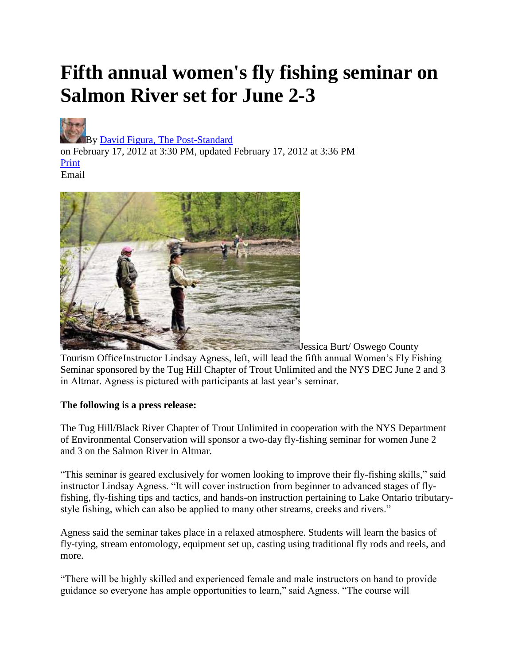## **Fifth annual women's fly fishing seminar on Salmon River set for June 2-3**



[B](http://connect.syracuse.com/user/dfigura/index.html)y [David Figura, The Post-Standard](http://connect.syracuse.com/user/dfigura/posts.html) 

on February 17, 2012 at 3:30 PM, updated February 17, 2012 at 3:36 PM [Print](http://blog.syracuse.com/outdoors/print.html?entry=/2012/02/fifth_annual_womens_fly_fishin.html) Email



Jessica Burt/ Oswego County Tourism OfficeInstructor Lindsay Agness, left, will lead the fifth annual Women's Fly Fishing Seminar sponsored by the Tug Hill Chapter of Trout Unlimited and the NYS DEC June 2 and 3 in Altmar. Agness is pictured with participants at last year's seminar.

## **The following is a press release:**

The Tug Hill/Black River Chapter of Trout Unlimited in cooperation with the NYS Department of Environmental Conservation will sponsor a two-day fly-fishing seminar for women June 2 and 3 on the Salmon River in Altmar.

"This seminar is geared exclusively for women looking to improve their fly-fishing skills," said instructor Lindsay Agness. "It will cover instruction from beginner to advanced stages of flyfishing, fly-fishing tips and tactics, and hands-on instruction pertaining to Lake Ontario tributarystyle fishing, which can also be applied to many other streams, creeks and rivers."

Agness said the seminar takes place in a relaxed atmosphere. Students will learn the basics of fly-tying, stream entomology, equipment set up, casting using traditional fly rods and reels, and more.

"There will be highly skilled and experienced female and male instructors on hand to provide guidance so everyone has ample opportunities to learn," said Agness. "The course will